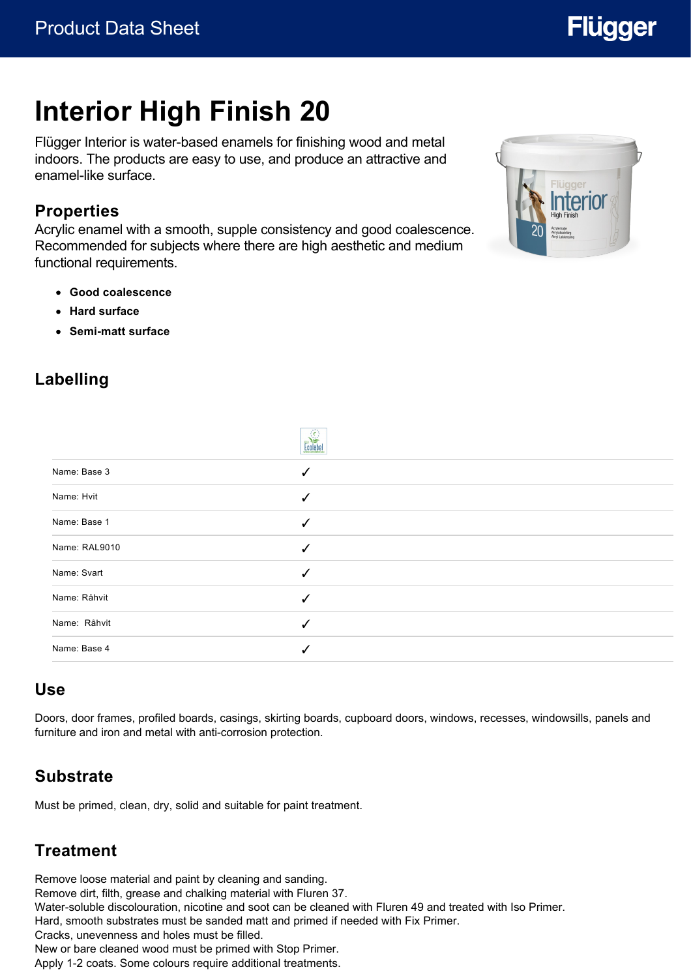# **Interior High Finish 20**

Flügger Interior is water-based enamels for finishing wood and metal indoors. The products are easy to use, and produce an attractive and enamel-like surface.

### **Properties**

Acrylic enamel with a smooth, supple consistency and good coalescence. Recommended for subjects where there are high aesthetic and medium functional requirements.

- **Good coalescence**
- **Hard surface**
- **Semi-matt surface**



**Flügger** 

# **Labelling**

|               | $\sum_{i=1}^{n}$ |  |
|---------------|------------------|--|
| Name: Base 3  | ✓                |  |
| Name: Hvit    | ✓                |  |
| Name: Base 1  |                  |  |
| Name: RAL9010 |                  |  |
| Name: Svart   | √                |  |
| Name: Råhvit  | $\checkmark$     |  |
| Name: Råhvit  | √                |  |
| Name: Base 4  |                  |  |

#### **Use**

Doors, door frames, profiled boards, casings, skirting boards, cupboard doors, windows, recesses, windowsills, panels and furniture and iron and metal with anti-corrosion protection.

# **Substrate**

Must be primed, clean, dry, solid and suitable for paint treatment.

# **Treatment**

Remove loose material and paint by cleaning and sanding. Remove dirt, filth, grease and chalking material with Fluren 37. Water-soluble discolouration, nicotine and soot can be cleaned with Fluren 49 and treated with Iso Primer. Hard, smooth substrates must be sanded matt and primed if needed with Fix Primer. Cracks, unevenness and holes must be filled. New or bare cleaned wood must be primed with Stop Primer. Apply 1-2 coats. Some colours require additional treatments.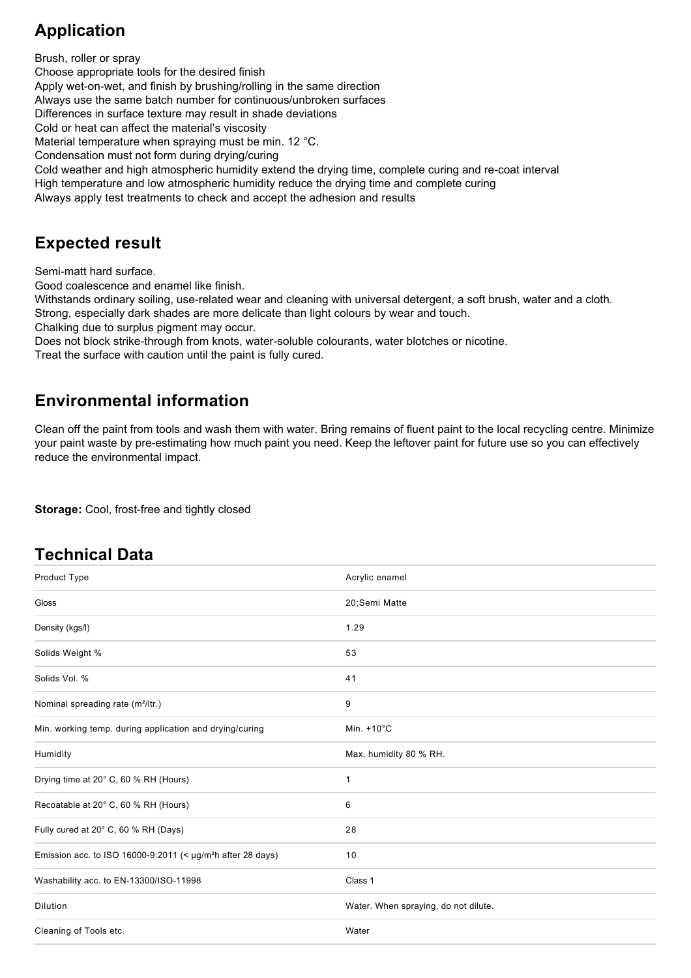# **Application**

Brush, roller or spray Choose appropriate tools for the desired finish Apply wet-on-wet, and finish by brushing/rolling in the same direction Always use the same batch number for continuous/unbroken surfaces Differences in surface texture may result in shade deviations Cold or heat can affect the material's viscosity Material temperature when spraying must be min. 12 °C. Condensation must not form during drying/curing Cold weather and high atmospheric humidity extend the drying time, complete curing and re-coat interval High temperature and low atmospheric humidity reduce the drying time and complete curing Always apply test treatments to check and accept the adhesion and results

# **Expected result**

Semi-matt hard surface.

Good coalescence and enamel like finish.

Withstands ordinary soiling, use-related wear and cleaning with universal detergent, a soft brush, water and a cloth. Strong, especially dark shades are more delicate than light colours by wear and touch.

Chalking due to surplus pigment may occur.

Does not block strike-through from knots, water-soluble colourants, water blotches or nicotine.

Treat the surface with caution until the paint is fully cured.

# **Environmental information**

Clean off the paint from tools and wash them with water. Bring remains of fluent paint to the local recycling centre. Minimize your paint waste by pre-estimating how much paint you need. Keep the leftover paint for future use so you can effectively reduce the environmental impact.

**Storage:** Cool, frost-free and tightly closed

# **Technical Data**

| Product Type                                                                 | Acrylic enamel                       |
|------------------------------------------------------------------------------|--------------------------------------|
| Gloss                                                                        | 20;Semi Matte                        |
| Density (kgs/l)                                                              | 1.29                                 |
| Solids Weight %                                                              | 53                                   |
| Solids Vol. %                                                                | 41                                   |
| Nominal spreading rate (m <sup>2</sup> /ltr.)                                | 9                                    |
| Min. working temp. during application and drying/curing                      | Min. $+10^{\circ}$ C                 |
| Humidity                                                                     | Max. humidity 80 % RH.               |
| Drying time at 20° C, 60 % RH (Hours)                                        | $\mathbf{1}$                         |
| Recoatable at 20° C, 60 % RH (Hours)                                         | 6                                    |
| Fully cured at 20° C, 60 % RH (Days)                                         | 28                                   |
| Emission acc. to ISO 16000-9:2011 (< $\mu$ g/m <sup>2</sup> h after 28 days) | 10                                   |
| Washability acc. to EN-13300/ISO-11998                                       | Class 1                              |
| Dilution                                                                     | Water. When spraying, do not dilute. |
| Cleaning of Tools etc.                                                       | Water                                |